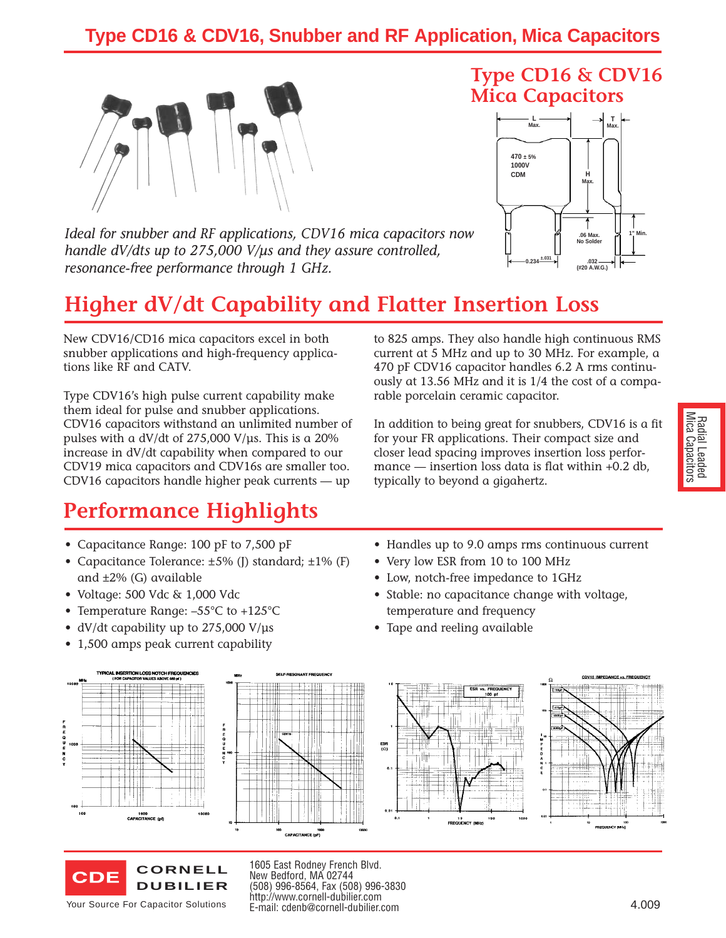## **Type CD16 & CDV16, Snubber and RF Application, Mica Capacitors**



*Ideal for snubber and RF applications, CDV16 mica capacitors now handle dV/dts up to 275,000 V/µs and they assure controlled, resonance-free performance through 1 GHz.*

## **Higher dV/dt Capability and Flatter Insertion Loss**

New CDV16/CD16 mica capacitors excel in both snubber applications and high-frequency applications like RF and CATV.

Type CDV16's high pulse current capability make them ideal for pulse and snubber applications. CDV16 capacitors withstand an unlimited number of pulses with a dV/dt of  $275,000$  V/ $\mu$ s. This is a 20% increase in dV/dt capability when compared to our CDV19 mica capacitors and CDV16s are smaller too. CDV16 capacitors handle higher peak currents — up

## **Performance Highlights**

- Capacitance Range: 100 pF to 7,500 pF
- Capacitance Tolerance: ±5% (J) standard; ±1% (F) and ±2% (G) available
- Voltage: 500 Vdc & 1,000 Vdc
- Temperature Range: –55°C to +125°C
- dV/dt capability up to 275,000 V/us
- 1,500 amps peak current capability

to 825 amps. They also handle high continuous RMS current at 5 MHz and up to 30 MHz. For example, a 470 pF CDV16 capacitor handles 6.2 A rms continuously at 13.56 MHz and it is 1/4 the cost of a comparable porcelain ceramic capacitor.

**Type CD16 & CDV16**

**Max.**  $\begin{bmatrix} 1 & \text{if} & \text{if} & \text{if} & \text{if} & \text{if} & \text{if} & \text{if} & \text{if} & \text{if} & \text{if} & \text{if} & \text{if} & \text{if} & \text{if} & \text{if} & \text{if} & \text{if} & \text{if} & \text{if} & \text{if} & \text{if} & \text{if} & \text{if} & \text{if} & \text{if} & \text{if} & \text{if} & \text{if} & \text{if} & \text{if} & \text{if} & \text{if} & \text{if} & \text{if} &$ 

**Max.**

**No Solder .032 (#20 A.W.G.)**

**Max.**

**1" Min. .06 Max.**

**Mica Capacitors**

**CDM H**

**0.234 ±.031**

**L**

**470 ± 5% 1000V**

In addition to being great for snubbers, CDV16 is a fit for your FR applications. Their compact size and closer lead spacing improves insertion loss performance — insertion loss data is flat within +0.2 db, typically to beyond a gigahertz.

- Handles up to 9.0 amps rms continuous current
- Very low ESR from 10 to 100 MHz
- Low, notch-free impedance to 1GHz
- Stable: no capacitance change with voltage, temperature and frequency
- Tape and reeling available





Your Source For Capacitor Solutions

1605 East Rodney French Blvd. New Bedford, MA 02744 (508) 996-8564, Fax (508) 996-3830 http://www.cornell-dubilier.com E-mail: cdenb@cornell-dubilier.com 4.009